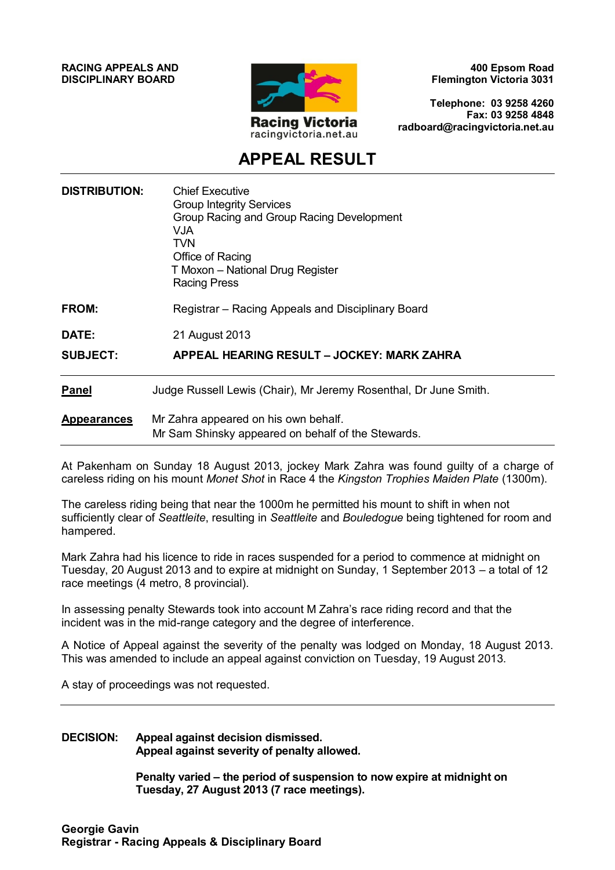**RACING APPEALS AND DISCIPLINARY BOARD**



**400 Epsom Road Flemington Victoria 3031**

**Telephone: 03 9258 4260 Fax: 03 9258 4848 radboard@racingvictoria.net.au**

## **APPEAL RESULT**

| <b>DISTRIBUTION:</b> | <b>Chief Executive</b><br><b>Group Integrity Services</b><br>Group Racing and Group Racing Development<br><b>VJA</b><br><b>TVN</b><br>Office of Racing<br>T Moxon - National Drug Register<br><b>Racing Press</b> |
|----------------------|-------------------------------------------------------------------------------------------------------------------------------------------------------------------------------------------------------------------|
| FROM:                | Registrar - Racing Appeals and Disciplinary Board                                                                                                                                                                 |
| <b>DATE:</b>         | 21 August 2013                                                                                                                                                                                                    |
| <b>SUBJECT:</b>      | APPEAL HEARING RESULT - JOCKEY: MARK ZAHRA                                                                                                                                                                        |
| <b>Panel</b>         | Judge Russell Lewis (Chair), Mr Jeremy Rosenthal, Dr June Smith.                                                                                                                                                  |
| <b>Appearances</b>   | Mr Zahra appeared on his own behalf.<br>Mr Sam Shinsky appeared on behalf of the Stewards.                                                                                                                        |

At Pakenham on Sunday 18 August 2013, jockey Mark Zahra was found guilty of a charge of careless riding on his mount *Monet Shot* in Race 4 the *Kingston Trophies Maiden Plate* (1300m).

The careless riding being that near the 1000m he permitted his mount to shift in when not sufficiently clear of *Seattleite*, resulting in *Seattleite* and *Bouledogue* being tightened for room and hampered.

Mark Zahra had his licence to ride in races suspended for a period to commence at midnight on Tuesday, 20 August 2013 and to expire at midnight on Sunday, 1 September 2013 – a total of 12 race meetings (4 metro, 8 provincial).

In assessing penalty Stewards took into account M Zahra's race riding record and that the incident was in the mid-range category and the degree of interference.

A Notice of Appeal against the severity of the penalty was lodged on Monday, 18 August 2013. This was amended to include an appeal against conviction on Tuesday, 19 August 2013.

A stay of proceedings was not requested.

#### **DECISION: Appeal against decision dismissed. Appeal against severity of penalty allowed.**

**Penalty varied – the period of suspension to now expire at midnight on Tuesday, 27 August 2013 (7 race meetings).**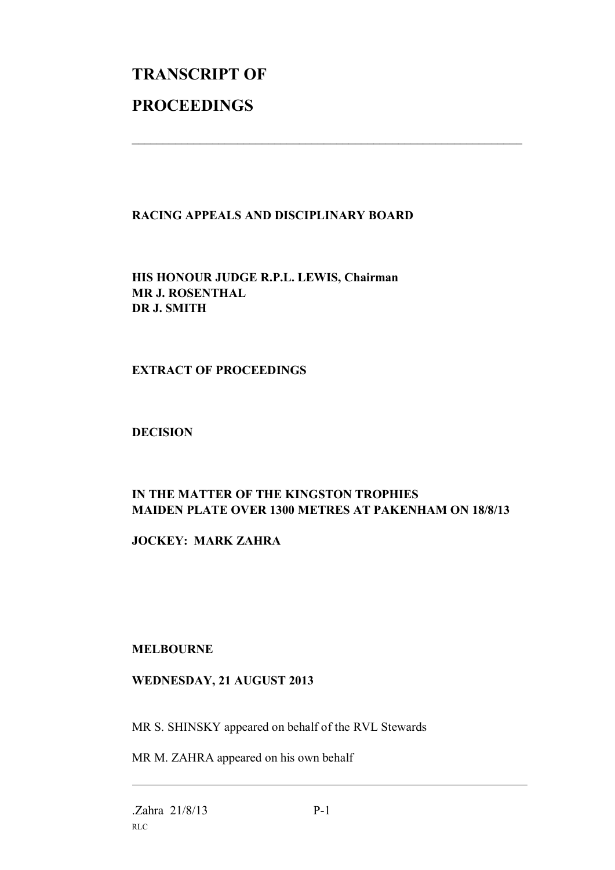# **TRANSCRIPT OF PROCEEDINGS**

#### **RACING APPEALS AND DISCIPLINARY BOARD**

 $\mathcal{L}_\text{max}$  , and the contribution of the contribution of the contribution of the contribution of the contribution of the contribution of the contribution of the contribution of the contribution of the contribution of t

**HIS HONOUR JUDGE R.P.L. LEWIS, Chairman MR J. ROSENTHAL DR J. SMITH**

#### **EXTRACT OF PROCEEDINGS**

#### **DECISION**

### **IN THE MATTER OF THE KINGSTON TROPHIES MAIDEN PLATE OVER 1300 METRES AT PAKENHAM ON 18/8/13**

**JOCKEY: MARK ZAHRA**

#### **MELBOURNE**

#### **WEDNESDAY, 21 AUGUST 2013**

MR S. SHINSKY appeared on behalf of the RVL Stewards

MR M. ZAHRA appeared on his own behalf